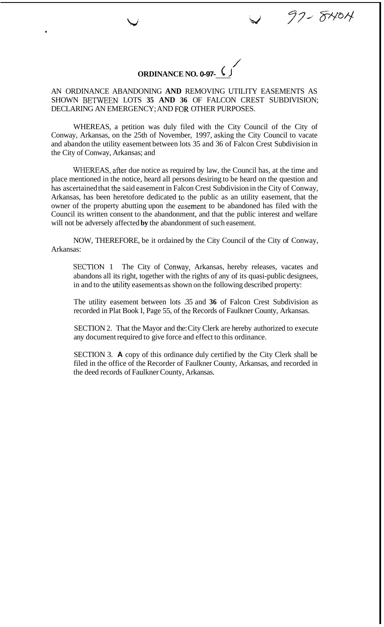/ **ORDINANCE NO. 0-97-** 

97-8404

where  $\vee$ 

AN ORDINANCE ABANDONING **AND** REMOVING UTILITY EASEMENTS AS SHOWN BETWEEN LOTS 35 AND 36 OF FALCON CREST SUBDIVISION; DECLARING AN EMERGENCY; AND FOR OTHER PURPOSES.

WHEREAS, a petition was duly filed with the City Council of the City of Conway, Arkansas, on the 25th of November, 1997, asking the City Council to vacate and abandon the utility easement between lots 35 and 36 of Falcon Crest Subdivision in the City of Conway, Arkansas; and

**WHEREAS,** afier due notice as required by law, the Council has, at the time and place mentioned in the notice, heard all persons desiring to be heard on the question and has ascertained that the said easement in Falcon Crest Subdivision in the City of Conway, Arkansas, has been heretofore dedicated to) the public as an utility easement, that the owner of the property abutting upon the easement to be abandoned has filed with the Council its written consent to the abandonment, and that the public interest and welfare will not be adversely affected **by** the abandonment of such easement.

NOW, THEREFORE, be it ordained by the City Council of the City of Conway, Arkansas:

SECTION 1 The City of Conway, Arkansas, hereby releases, vacates and abandons all its right, together with the rights of any of its quasi-public designees, in and to the utility easements as shown on the following described property:

The utility easement between lots .35 and **36** of Falcon Crest Subdivision as recorded in Plat Book I, Page 55, of the Records of Faulkner County, Arkansas.

SECTION 2. That the Mayor and the: City Clerk are hereby authorized to execute any document required to give force and effect to this ordinance.

SECTION 3. **A** copy of this ordinance duly certified by the City Clerk shall be filed in the office of the Recorder of Faulkner County, Arkansas, and recorded in the deed records of Faulkner County, Arkansas.